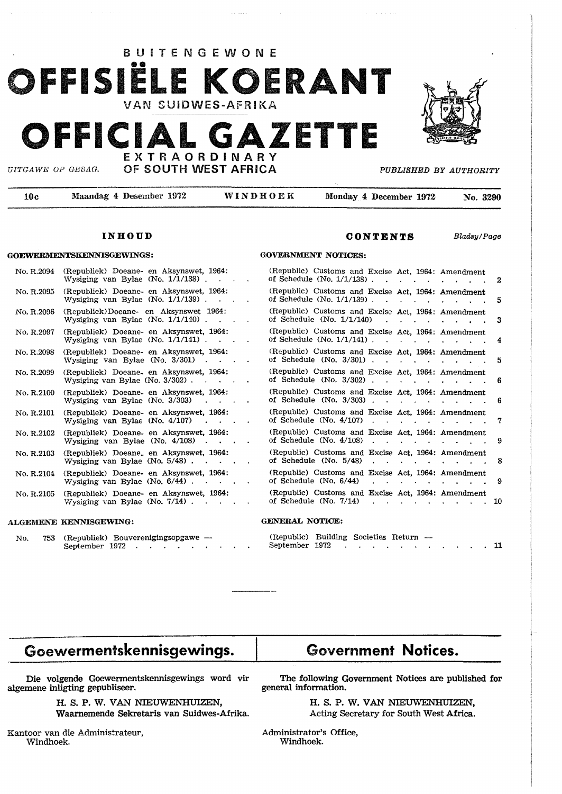

#### **CONTENTS**

(Republic) Customs and Excise Act, 1964: Amendment of Schedule (No.  $1/1/138$ ) . . . . . . . 2 (Republic) Customs and Excise Act, 1964: Amendment of Schedule (No. 1/1/139). . . . . . . . . 5 (Republic) Customs and Excise Act, 1964: Amendment of Schedule (No. 1/1/140) . . . . . . . 3 (Republic) Customs and Excise Act, 1964: Amendment of Schedule (No. 1/1/141) . . . . . . . . . . 4 (Republic) Customs and Excise Act, 1964: Amendment of Schedule (No.  $3/301$ )  $\ldots$   $\ldots$   $\ldots$   $\ldots$  5 (Republic) Customs and Excise Act, 1964: Amendment of Schedule (No.  $3/302$ )  $\ldots$   $\ldots$   $\ldots$   $\ldots$  6 (Republic) Customs and Excise Act, 1964: Amendment of Schedule  $(No. 3/303)$ .  $\ldots$   $\ldots$   $\ldots$  6 (Republic) Customs and Excise Act, 1964: Amendment of Schedule (No.  $4/107$ )  $\cdot \cdot \cdot \cdot \cdot \cdot \cdot \cdot \cdot \cdot 7$ (Republic) Customs and Excise Act, 1964: Amendment of Schedule (No.  $4/108$ )  $\ldots$   $\ldots$   $\ldots$   $\ldots$   $\ldots$  9 (Republic) Customs and Excise Act, 1964: Amendment of Schedule (No.  $5/48$ )  $\ldots$   $\ldots$   $\ldots$   $\ldots$  8 (Republic) Customs and Excise Act, 1964: Amendment of Schedule (No.  $6/44$ )  $\cdot \cdot \cdot \cdot \cdot \cdot \cdot \cdot \cdot 9$ (Republic) Customs and Excise Act, 1964: Amendment of Schedule (No.  $7/14$ ) 10

**GOVERNMENT NOTICES:** 

Bladsy/ Page

#### **INHOUD**

#### **GOEWERMENTSKENNISGEWJNGS:**

| No. R.2094 | (Republiek) Doeane- en Aksynswet, 1964:<br>Wysiging van Bylae (No. 1/1/138).    |  |
|------------|---------------------------------------------------------------------------------|--|
| No. R.2095 | (Republiek) Doeane- en Aksynswet, 1964:<br>Wysiging van Bylae (No. $1/1/139$ ). |  |
| No. R.2096 | (Republiek)Doeane- en Aksynswet 1964:<br>Wysiging van Bylae (No. 1/1/140).      |  |
| No. R.2097 | (Republiek) Doeane- en Aksynswet, 1964:<br>Wysiging van Bylae (No. 1/1/141).    |  |
| No. R.2098 | (Republiek) Doeane- en Aksynswet, 1964:<br>Wysiging van Bylae (No. 3/301)       |  |
| No. R.2099 | (Republiek) Doeane en Aksynswet, 1964:<br>Wysiging van Bylae (No. 3/302).       |  |
| No. R.2100 | (Republiek) Doeane- en Aksynswet, 1964:<br>Wysiging van Bylae (No. 3/303)       |  |
| No. R.2101 | (Republiek) Doeane- en Aksynswet, 1964:<br>Wysiging van Bylae (No. 4/107)       |  |
| No. R.2102 | (Republiek) Doeane- en Aksynswet, 1964:<br>Wysiging van Bylae (No. 4/108)       |  |
| No. R.2103 | (Republiek) Doeane. en Aksynswet, 1964:<br>Wysiging van Bylae (No. 5/48).       |  |
| No. R.2104 | (Republiek) Doeane- en Aksynswet, 1964:<br>Wysiging van Bylae (No. 6/44).       |  |
| No. R.2105 | (Republiek) Doeane- en Aksynswet, 1964:<br>Wysiging van Bylae (No. 7/14).       |  |
|            |                                                                                 |  |

#### **ALGEMENE KENNISGEWJNG:**

No. 753 (Republiek) Bouverenigingsopgawe -September 1972 . . . . . .

#### **GENERAL NOTICE:**

| (Republic) Building Societies Return — |  |  |  |  |  |  |
|----------------------------------------|--|--|--|--|--|--|
| September 1972                         |  |  |  |  |  |  |

# **Goewermentskennisgewings.**

## **Government Notices.**

Die volgende Goewermentskennisgewings word vir algemene inligting gepubliseer.

> H. **S. P. W. VAN NIEUWENHUIZEN,**  Waarnemende Sekretaris van Suidwes-Afrika.

Kantoor van die Administrateur, Windhoek.

The following Government Notices are published for general information.

> H. S. P. W. VAN NIEUWENHUIZEN, Acting Secretary for South West Africa.

Administrator's Office, Windhoek.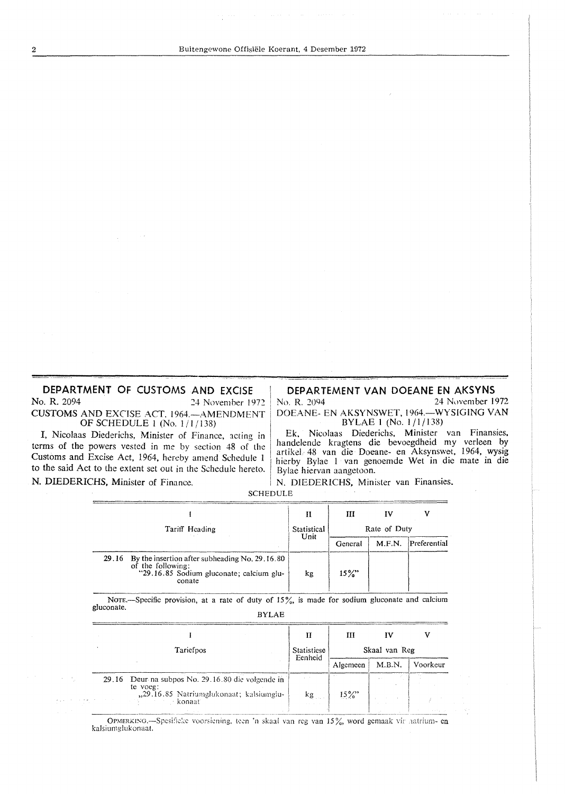DEPARTMENT OF CUSTOMS AND EXCISE No. R. 2094 24 November 1972 CUSTOMS AND EXCISE ACT, 1964. - AMENDMENT OF SCHEDULE 1 (No. 1/1/138)

I, Nicolaas Diederichs, Minister of Finance, acting in terms of the powers vested in me by section 48 of the Customs and Excise Act, 1964, hereby amend Schedule 1 to the said Act to the extent set out in the Schedule hereto. N. DIEDERICHS, Minister of Finance.

DEPARTEMENT VAN DOEANE EN AKSYNS

No. R. 2094 24 November 1972 DOEANE- EN AKSYNSWET, 1964.-WYSIGING VAN BYLAE 1 (No. 1/1/138)

Ek, Nicolaas Diederichs, Minister van Finansies, handelende kragtens die bevoegdheid my verleen by artikel 48 van die Doeane- en Aksynswet, 1964, wysig hierby Bylae 1 van genoemde Wet in die mate in die Bylae hiervan aangetoon.

N. DIEDERICHS, Minister van Finansies.

| <b>SCHEDULE</b> |  |  |
|-----------------|--|--|
|-----------------|--|--|

|                                                                                                                                     | п           | Ш            | IV     |              |  |
|-------------------------------------------------------------------------------------------------------------------------------------|-------------|--------------|--------|--------------|--|
| Tariff Heading                                                                                                                      | Statistical | Rate of Duty |        |              |  |
|                                                                                                                                     | Unit        | General      | M.F.N. | Preferential |  |
| By the insertion after subheading No. 29, 16.80<br>29.16<br>of the following:<br>"29.16.85 Sodium gluconate; calcium glu-<br>conate | kg          | $15\%$       |        |              |  |

NOTE.-Specific provision, at a rate of duty of 15%, is made for sodium gluconate and calcium gluconate. **BYLAE** 

|           |                                                                                                                      |                  | ш             | īν     |          |  |
|-----------|----------------------------------------------------------------------------------------------------------------------|------------------|---------------|--------|----------|--|
| Tariefpos |                                                                                                                      | Statisticse      | Skaal van Reg |        |          |  |
|           |                                                                                                                      | Eenheid          | Algemeen      | M.B.N. | Voorkeur |  |
|           | 29.16 Deur na subpos No. 29.16.80 die volgende in<br>te voeg:<br>"29.16.85 Natriumglukonaat; kalsiumglu-<br>∙ konaat | $-$ kg $_{\sim}$ | $15\%$        |        |          |  |

OPMERKING.-Spesificke voorsiening, teen 'n skaal van reg van 15%, word gemaak vir aatrium- en kalsiumglukonaat.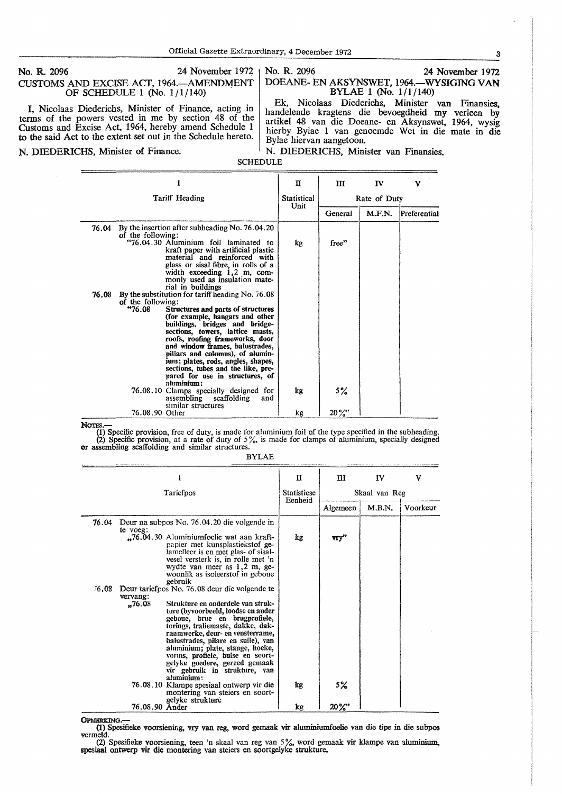#### No. R. 2096 24 November 1972 CUSTOMS AND EXCISE ACT, 1964.-AMENDMENT OF SCHEDULE 1 (No.  $1/1/140$ )

L Nicolaas Diederichs, Minister of Finance, acting in terms of the powers vested in me by section 48 of the Customs and Excise Act, 1964, hereby amend Schedule 1 to the said Act to the extent set out in the Schedule hereto.

No. R. 2096 24 November 1972 DOEANE- EN AKSYNSWET, 1964.-WYSIGING VAN BYLAE 1 (No. 1/1/140)

Ek, Nicolaas Diederichs, Minister van Finansies. handelende kragtens die bevoegdheid my verleen by artikel 48 van die Doeane- en Aksynswet, 1964, wysig hierby Bylae 1 van genoemde Wet in die mate in die Bylae hiervan aangetoon.

N. DIEDERICHS, Minister of Finance. N. DIEDERICHS, Minister van Finansies.

SCHEDULE

|       |                             |                                                                                                                                                                                                                                                                                                                                                                                                                                        | п                          | Ш            | IV     | v            |  |
|-------|-----------------------------|----------------------------------------------------------------------------------------------------------------------------------------------------------------------------------------------------------------------------------------------------------------------------------------------------------------------------------------------------------------------------------------------------------------------------------------|----------------------------|--------------|--------|--------------|--|
|       |                             | Tariff Heading                                                                                                                                                                                                                                                                                                                                                                                                                         | <b>Statistical</b><br>Unit | Rate of Duty |        |              |  |
|       |                             |                                                                                                                                                                                                                                                                                                                                                                                                                                        |                            | General      | M.F.N. | Preferential |  |
| 76.04 | of the following:           | By the insertion after subheading No. 76.04.20<br>"76.04.30 Aluminium foil laminated to<br>kraft paper with artificial plastic<br>material and reinforced with<br>glass or sisal fibre, in rolls of a<br>width exceeding $1,2$ m, com-<br>monly used as insulation mate-<br>rial in buildings                                                                                                                                          | kg                         | free"        |        |              |  |
| 76.08 | of the following:<br>"76.08 | By the substitution for tariff heading No. 76.08<br>Structures and parts of structures<br>(for example, hangars and other<br>buildings, bridges and bridge-<br>sections, towers, lattice masts,<br>roofs, roofing frameworks, door<br>and window frames, balustrades,<br>pillars and columns), of alumin-<br>ium; plates, rods, angles, shapes,<br>sections, tubes and the like, pre-<br>pared for use in structures, of<br>aluminium: |                            |              |        |              |  |
|       |                             | 76.08.10 Clamps specially designed for<br>assembling scaffolding<br>and<br>similar structures                                                                                                                                                                                                                                                                                                                                          | kg                         | 5%           |        |              |  |
|       | 76.08.90 Other              |                                                                                                                                                                                                                                                                                                                                                                                                                                        | kg                         | $20\%$ "     |        |              |  |

NOTES.—<br>
(1) Specific provision, free of duty, is made for aluminium foil of the type specified in the subheading.<br>
(2) Specific provision, at a rate of duty of 5%, is made for clamps of aluminium, specially designed<br>
or

BYLAE

|       |                |                                                                                                                                                                                                                                                                                                                                                                                  | π                             | $\Pi$         | IV     | v        |  |
|-------|----------------|----------------------------------------------------------------------------------------------------------------------------------------------------------------------------------------------------------------------------------------------------------------------------------------------------------------------------------------------------------------------------------|-------------------------------|---------------|--------|----------|--|
|       |                | Tariefpos                                                                                                                                                                                                                                                                                                                                                                        | <b>Statistiese</b><br>Eenheid | Skaal van Reg |        |          |  |
|       |                |                                                                                                                                                                                                                                                                                                                                                                                  |                               | Algemeen      | M.B.N. | Voorkeur |  |
| 76.04 | te voeg:       | Deur na subpos No. 76.04.20 die volgende in<br>"76.04.30 Aluminiumfoelie wat aan kraft-<br>papier met kunsplastiekstof ge-<br>lamelleer is en met glas- of sisal-<br>vesel versterk is, in rolle met 'n<br>wydte van meer as 1,2 m, ge-                                                                                                                                          | kg                            | vry"          |        |          |  |
| 76.08 | vervang:       | woonlik as isoleerstof in geboue<br>gebruik<br>Deur tariefpos No. 76.08 deur die volgende te                                                                                                                                                                                                                                                                                     |                               |               |        |          |  |
|       | $-76.08$       | Strukture en onderdele van struk-<br>ture (byvoorbeeld, loodse en ander<br>geboue, brue en brugprofiele,<br>torings, traliemaste, dakke, dak-<br>raamwerke, deur- en vensterrame,<br>balustrades, pilare en suile), van<br>aluminium; plate, stange, hoeke,<br>vorms, profiele, buise en soort-<br>gelyke goedere, gereed gemaak<br>vir gebruik in strukture, van<br>aluminium : |                               |               |        |          |  |
|       |                | 76.08.10 Klampe spesiaal ontwerp vir die<br>montering van steiers en soort-<br>gelyke strukture                                                                                                                                                                                                                                                                                  | łх                            | 5%            |        |          |  |
|       | 76.08.90 Ander |                                                                                                                                                                                                                                                                                                                                                                                  | kg                            | $20\%$        |        |          |  |

OPMERKING.

(1) Spesifieke voorsiening, vry van reg, word gemaak vir aluminiumfoelie van die tipe in die subpos vermeld.

(2) Spesifieke voorsiening, teen 'n skaal van reg van 5%, word gemaak vir klampe van aluminium, spesiaal ontwerp vir die montering van steiers en soortgelyke strukture.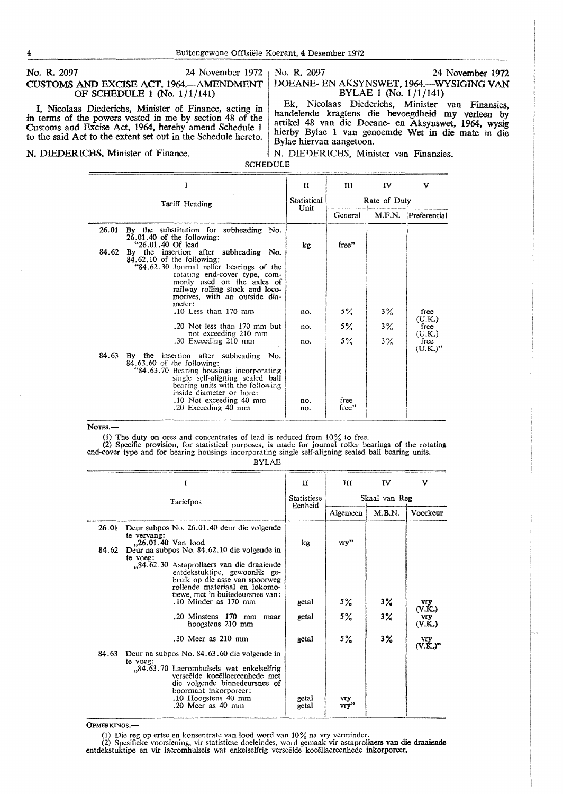#### No. R. 2097 24 November 1972 CUSTOMS AND EXCISE ACT. 1964.-AMENDMENT OF SCHEDULE I (No. 1/1/141)

I, Nicolaas Diederichs, Minister of Finance, acting in in terms of the powers vested in me by section 48 of the Customs and Excise Act, 1964, hereby amend Schedule 1 to the said Act to the extent set out in the Schedule hereto.

No. R. 2097 24 November 1972

DOEANE- EN AKSYNSWET, 1964.-WYSIGING VAN BYLAE 1 (No. 1/1/141)

Ek, Nicolaas Diederichs, Minister van Finansies. handelende kragtens die bevoegdheid my verleen by artikel 48 van die Doeane- en Aksynswet, 1964, wysig hierby Bylae 1 van genoemde Wet in die mate in die Bylae hiervan aangetoon.

#### **N. DIEDERICHS, Minister of Finance.** N. DIEDERICHS, Minister van Finansies.

SCHEDULE

|       |                                                                                                                                                                                                                                                                         | $\mathbf{H}$        | Ш             | $\mathbf{IV}$ | v                  |  |
|-------|-------------------------------------------------------------------------------------------------------------------------------------------------------------------------------------------------------------------------------------------------------------------------|---------------------|---------------|---------------|--------------------|--|
|       | <b>Tariff</b> Heading                                                                                                                                                                                                                                                   | Statistical<br>Unit | Rate of Duty  |               |                    |  |
|       |                                                                                                                                                                                                                                                                         |                     | General       | M.F.N.        | Preferential       |  |
| 26.01 | By the substitution for subheading No.<br>$26.01.40$ of the following:<br>"26.01.40 Of lead                                                                                                                                                                             | kg                  | free"         |               |                    |  |
| 84.62 | By the insertion after subheading No.<br>$84.62.10$ of the following:<br>"84.62.30 Journal roller bearings of the<br>rotating end-cover type, com-<br>monly used on the axles of<br>railway rolling stock and loco-<br>motives, with an outside dia-<br>meter:          |                     |               |               |                    |  |
|       | $.10$ Less than $170$ mm                                                                                                                                                                                                                                                | no.                 | 5%            | 3%            | free<br>(U.K.)     |  |
|       | .20 Not less than 170 mm but<br>not exceeding 210 mm                                                                                                                                                                                                                    | no.                 | $5\%$         | 3%            | free<br>(U.K.)     |  |
|       | .30 Exceeding 210 mm                                                                                                                                                                                                                                                    | no.                 | $5\%$         | $3\%$         | free<br>$(U.K.)$ " |  |
| 84.63 | By the insertion after subheading No.<br>$84.63.60$ of the following:<br>"84.63.70 Bearing housings incorporating<br>single self-aligning sealed ball<br>bearing units with the following<br>inside diameter or bore:<br>.10 Not exceeding 40 mm<br>.20 Exceeding 40 mm | no.<br>no.          | free<br>free" |               |                    |  |

Notes.-

(1) The duty on ores and concentrates of lead is reduced from  $10\%$  to free.<br>
(2) Specific provision, for statistical purposes, is made for journal roller bearings of the rotating<br>
end-cover type and for bearing housings

| . |
|---|
|---|

|       |                                                                                                                                                                                  | п                             | Ш                  | IV            | v                          |  |  |
|-------|----------------------------------------------------------------------------------------------------------------------------------------------------------------------------------|-------------------------------|--------------------|---------------|----------------------------|--|--|
|       | Tariefpos                                                                                                                                                                        | <b>Statistiese</b><br>Eenheid |                    | Skaal van Reg |                            |  |  |
|       |                                                                                                                                                                                  |                               | Algemeen           | M.B.N.        | Voorkeur                   |  |  |
| 26.01 | Deur subpos No. 26.01.40 deur die volgende<br>te vervang:<br>"26.01.40 Van lood                                                                                                  | kg                            | vry''              |               |                            |  |  |
| 84.62 | Deur na subpos No. 84.62.10 die volgende in<br>te voeg:<br>"84.62.30 Astaprollaers van die draaiende                                                                             |                               |                    |               |                            |  |  |
|       | entdekstuktipe, gewoonlik ge-<br>bruik op die asse van spoorweg<br>rollende materiaal en lokomo-                                                                                 |                               |                    |               |                            |  |  |
|       | tiewe, met 'n buitedeursnee van:<br>.10 Minder as 170 mm                                                                                                                         | getal                         | 5%                 | 3%            | VIY.<br>(V.K.)             |  |  |
|       | .20 Minstens 170 mm maar<br>hoogstens 210 mm                                                                                                                                     | getal                         | $5\%$              | $3\%$         | vry<br>(V.K.)              |  |  |
|       | $.30$ Meer as $210$ mm                                                                                                                                                           | getal                         | 5%                 | $3\%$         | vry<br>(V.K.) <sup>n</sup> |  |  |
| 84.63 | Deur na subpos No. 84.63.60 die volgende in<br>te voeg:                                                                                                                          |                               |                    |               |                            |  |  |
|       | "84.63.70 Laeromhulsels wat enkelselfrig<br>verseëlde koeëllaereenhede met<br>die volgende binnedeursnee of<br>boormaat inkorporeer:<br>.10 Hoogstens 40 mm<br>.20 Meer as 40 mm | getal<br>getal                | <b>VIY</b><br>vrv" |               |                            |  |  |
|       |                                                                                                                                                                                  |                               |                    |               |                            |  |  |

OPMERKINGS.-

(I) Die reg op ertse en konsentrate van lood word van 10% na vry venninder. (2) Spesifieke voorsiening, vir statisticse doeleindes, word gemaak vir astaprollaers van die **draaiendc**  entdekstuktipe en vir laeromhulsels wat enkelselfrig verseelde koeellaereenhede inkorporeer.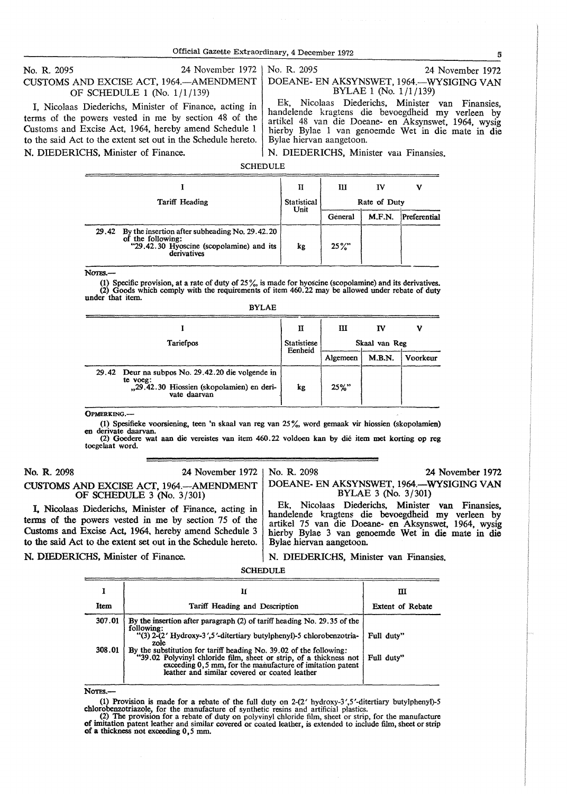#### No. R. 2095 24 November 1972 CUSTOMS AND EXCISE ACT, 1964. AMENDMENT OF SCHEDULE 1 (No. 1/1/139)

I, Nicolaas Diederichs, Minister of Finance, acting in terms of the powers vested in me by section 48 of the Customs and Excise Act, 1964, hereby amend Schedule 1 to the said Act to the extent set out in the Schedule hereto. N. DIEDERICHS, Minister of Finance.

#### No. R. 2095 24 November 1972 DOEANE- EN AKSYNSWET, 1964.-WYSIGING VAN BYLAE 1 (No. 1/1/139)

Ek, Nicolaas Diederichs, Minister van Finansies, handelende kragtens die bevoegdheid my verleen by artikel 48 van die Doeane- en Aksynswet, 1964, wysig hierby Bylae 1 van genoemde Wet in die mate in die Bylae hiervan aangetoon.

N. DIEDERICHS, Minister van Finansies.

#### **SCHEDULE**

|                |                                                                                                                                      | п                   | ш            | IV     | V            |  |
|----------------|--------------------------------------------------------------------------------------------------------------------------------------|---------------------|--------------|--------|--------------|--|
| Tariff Heading |                                                                                                                                      | Statistical<br>Unit | Rate of Duty |        |              |  |
|                |                                                                                                                                      |                     | General      | M.F.N. | Preferential |  |
|                | 29.42 By the insertion after subheading No. 29.42.20<br>of the following:<br>"29,42.30 Hyoscine (scopolamine) and its<br>derivatives | kg                  | $25\%$       |        |              |  |

Norg<sub>s</sub>-

(1) Specific provision, at a rate of duty of  $25\%$ , is made for hyoscine (scopolamine) and its derivatives. (2) Goods which comply with the requirements of item 460.22 may be allowed under rebate of duty under that item.

BYLAE

| Statistiese<br><b>Tariefpos</b>                                                                                            |         | ш<br>ν<br>Iν<br>Skaal van Reg |        |          |  |
|----------------------------------------------------------------------------------------------------------------------------|---------|-------------------------------|--------|----------|--|
|                                                                                                                            | Eenheid | Algemeen                      | M.B.N. | Voorkeur |  |
| 29.42 Deur na subpos No. 29.42.20 die volgende in<br>te voeg:<br>"29.42.30 Hiossien (skopolamien) en deri-<br>vate daarvan | kg      | $25\%$ "                      |        |          |  |

OPMERKJN0.-

(1) Spesifieke voorsiening, teen 'n skaal van reg van 25%, word gemaak vir hiossien (skopolamien) derivate daarvan.

(2) Goedere wat aan die vereistes van item 460.22 voldoen kan by die item met korting op reg toegelaat word.

No. R. 2098 24 November 1972

# CUSTOMS AND EXCISE ACT, 1964.-AMENDMENT OF SCHEDULE 3 (No. 3/301)

I. Nicolaas Diederichs. Minister of Finance, acting in terms of the powers vested in me by section 75 of the Customs and Excise Act, 1964. hereby amend Schedule 3 to the said Act to the extent set out in the Schedule hereto. No. R. 2098 24 November 1972 DOEANE- EN AKSYNSWET. 1964.-WYSIGING VAN

BYLAE 3 (No. 3/301)

Ek, Nicolaas Diederichs. Minister van Finansies, handelende kragtens die bevoegdheid my verleen by artikel 75 van die Doeane- en Aksynswet, 1964, wysig hierby Bylae 3 van genoemde Wet in die mate in die Bylae hiervan aangetoon.

#### N. DIEDERICHS, Minister of Finance.

N. DIEDERICHS, Minister van Fmansies.

SCHEDULE

|        | и                                                                                                                                                                                                                                                         | ш                |
|--------|-----------------------------------------------------------------------------------------------------------------------------------------------------------------------------------------------------------------------------------------------------------|------------------|
| Item   | Tariff Heading and Description                                                                                                                                                                                                                            | Extent of Rebate |
| 307.01 | By the insertion after paragraph (2) of tariff heading No. 29.35 of the<br>following:<br>"(3) 2-(2' Hydroxy-3',5'-ditertiary butylphenyl)-5 chlorobenzotria-<br>zole                                                                                      | Full duty"       |
| 308.01 | By the substitution for tariff heading No. 39,02 of the following:<br>"39.02 Polyvinyl chloride film, sheet or strip, of a thickness not<br>exceeding $0, 5$ mm, for the manufacture of imitation patent<br>leather and similar covered or coated leather | Full duty"       |

NOTES.-

(1) Provision is made for a rebate of the full duty on  $2-(2'$  hydroxy-3',5'-ditertiary butylphenyl)-5 chlorobenzotriazole, for the manufacture of synthetic resins and artificial plastics.<br>(2) The provision for a rebate of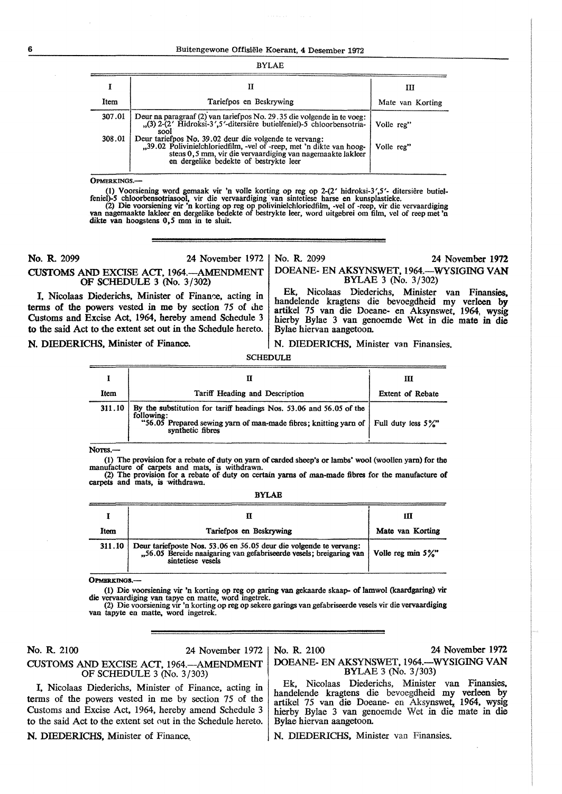#### **6** Buitengewone Offisiele Koerant, **4** Desember 1972

#### BYLAE

|        |                                                                                                                                                                                                                                        | Ш                |
|--------|----------------------------------------------------------------------------------------------------------------------------------------------------------------------------------------------------------------------------------------|------------------|
| Item   | Tariefpos en Beskrywing                                                                                                                                                                                                                | Mate van Korting |
| 307.01 | Deur na paragraaf (2) van tariefpos No. 29.35 die volgende in te voeg:<br>"(3) 2-(2' Hidroksi-3',5'-ditersière butielfeniel)-5 chloorbensotria-   Volle reg"<br>sool                                                                   |                  |
| 308.01 | Deur tariefpos No. 39.02 deur die volgende te vervang:<br>"39.02 Polivinielchloriedfilm, -vel of -reep, met 'n dikte van hoog-<br>stens 0.5 mm, vir die vervaardiging van nagemaakte lakteer<br>en dergelike bedekte of bestrykte leer | Volle reg"       |

**OPMERKINGS.** 

(1) Voorsiening word gemaak vir 'n volle korting op reg op 2-(2' hidroksi-3',5'- ditersiêre butiel-<br>feniel)-5 chloorbensotriasool, vir die vervaardiging van sintetiese harse en kunsplastieke.<br>(2) Die voorsiening vir 'n ko

**No. R** 2099 24 November 1972

CUSTOMS AND EXCISE ACT. 1964.-AMENDMENT OF SCHEDULE 3 (No. 3/302)

No. R. 2099 24 November 1972

DOEANE- EN AKSYNSWET, 1964.-WYSIGING **VAN**  BYLAE 3 (No. 3/302) Ek, Nicolaas Diederichs. Minister van Finansies.

handelende kragtens die bevoegdheid my verleen by artikel 75 van die Doeane- en Aksynswet, 1964, wysig hierby Bylae 3 van genoemde Wet in die mate in die

I. Nicolaas Diederichs, Minister of Finance, acting in terms of the powers vested in me by section 75 of the Customs and Excise Act. 1964, hereby amend Schedule 3 to the said Act to the extent set out in the Schedule hereto.

#### **N.** DIEDERICHS, Minister of Finance.

N. DIEDERICHS, Minister van Finansies.

Bylae hiervan aangetoon.

**SCHEDULE** 

|        |                                                                                                                                                                                                            | Ш                       |
|--------|------------------------------------------------------------------------------------------------------------------------------------------------------------------------------------------------------------|-------------------------|
| Item   | Tariff Heading and Description                                                                                                                                                                             | <b>Extent of Rebate</b> |
| 311.10 | By the substitution for tariff headings Nos. 53.06 and 56.05 of the<br>following:<br>"56.05 Prepared sewing yarn of man-made fibres; knitting yarn of Full duty less $5\frac{\%}{6}$ "<br>synthetic fibres |                         |

Notes.-

(1) The provision for a rebate of duty on yarn of carded sheep's or lambs' wool (woollen yarn) for the manufacture of carpets and mats, is withdrawn.<br>(2) The provision for a rebate of duty on certain yarns of man-made fibres for the manufacture of

carpets and mats, is withdrawn.

BYLAB

| Item   | Tariefpos en Beskrywing                                                                                                                                       | Ш<br>Mate van Korting |
|--------|---------------------------------------------------------------------------------------------------------------------------------------------------------------|-----------------------|
| 311.10 | Deur tariefposte Nos. 53.06 en 56.05 deur die volgende te vervang:<br>"56.05 Bereide naaigaring van gefabriseerde vesels; breigaring van<br>sintetiese vesels | Volle reg min $5\%$ " |

**OPMERKINGS.-**

(1) Die voorsiening vir 'n korting op reg op garing van gekaarde skaap- of lamwol (kaardgaring) vir die vervaardiging van tapye en matte, word ingetrek.

(2) Die voorsiening vir 'n korting op reg op sekere garings van gefabriseerde vesels vir die vervaardiging van tapyte en matte, word ingetrek.

No. R 2100 24 November 1972

CUSTOMS AND EXCISE ACT, 1964.-AMENDMENT OF SCHEDULE 3 (No. 3/303)

I, Nicolaas Diederichs, Minister of Finance, acting in terms of the powers vested in me by section 75 of the Customs and Excise Act, 1964, hereby amend Schedule 3 to the said Act to the extent set out in the Schedule hereto.

N. DIEDERICHS, Minister of Finance.

#### No. R. 2100 24 November 1972 DOEANE- EN AKSYNSWET, 1964.-WYSIGING VAN BYLAE 3 (No. 3 /303)

Ek, Nicolaas Diederichs, Minister van Finansies, handelende kragtens die bevoegdheid my verleen by artikel 75 van die Doeane- en Aksynswet, 1964, wysig hierby Bylae 3 van genoemde Wet in die mate in die Bylae hiervan aangetoon.

N. DIEDERICHS. Minister van Finansies.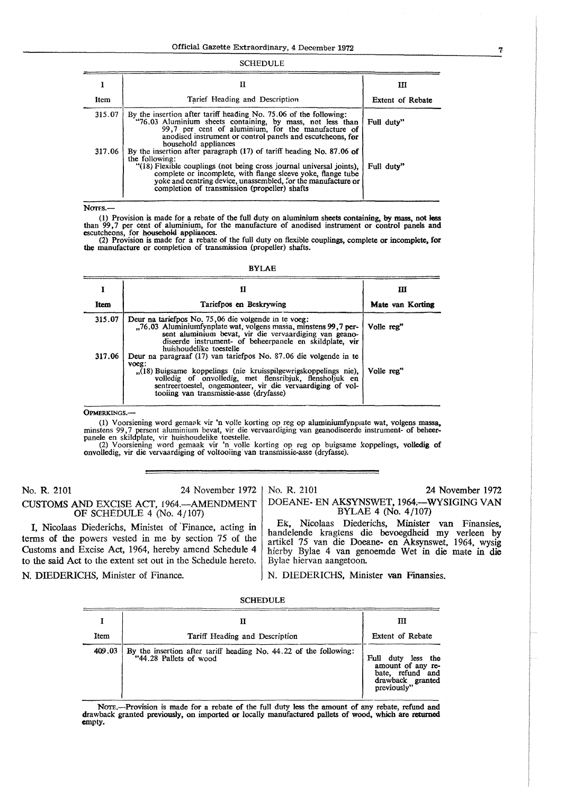# 1 **n** m m m m Item Tarief Heading and Description Festent of Rebate 315.07 By the insertion after tariff heading No. 75.06 of the following:<br>
"76.03 Aluminium sheets containing, by mass, not less than Full duty"<br>
99,7 per cent of aluminium, for the manufacture of<br>
anodised instrument or co household appliances 317 .06 By the insertion after paragraph (17) of tariff heading No. 87 .06 **of**  the following:<br>
"(18) Flexible couplings (not being cross journal universal joints),<br>
complete or incomplete, with flange sleeve yoke, flange tube<br>
yoke and centring device, unassembled, for the manufacture or<br>
completion

#### SCHEDULE

Nor<sub>Fs.</sub>-

(l) Provision is made for a rebate of the full duty on aluminium sheets containing, **by** mass, not less than 99,7 per cent of aluminium, for the manufacture of anodised instrument or control panels and escutcheons, for household appliances.

(2) Provision is made for a rebate of the full duty on flexible couplings, complete or incomplete, for the manufacture or completion of transmission (propeller) shafts.

| ۰.<br>. .<br>.,<br>×<br>٠ |  |
|---------------------------|--|
|---------------------------|--|

|        | п                                                                                                                                                                                                                                                                                                                | ш                |
|--------|------------------------------------------------------------------------------------------------------------------------------------------------------------------------------------------------------------------------------------------------------------------------------------------------------------------|------------------|
| Item   | Tariefpos en Beskrywing                                                                                                                                                                                                                                                                                          | Mate van Korting |
| 315.07 | Deur na tariefpos No. 75,06 die volgende in te voeg:<br>76.03 Aluminiumfynplate wat, volgens massa, minstens 99, 7 per-<br>sent aluminium bevat, vir die vervaardiging van geano-<br>diseerde instrument- of beheerpanele en skildplate, vir<br>huishoudelike toestelle                                          | Volle reg"       |
| 317.06 | Deur na paragraaf (17) van tariefpos No. 87.06 die volgende in te<br>voeg:<br>(18) Buigsame koppelings (nie kruisspilgewrigskoppelings nie)<br>volledig of onvolledig, met flensribjuk, flensholjuk en<br>sentreertoestel, ongemonteer, vir die vervaardiging of vol-<br>tooiing van transmissie-asse (dryfasse) | Volle reg"       |

**OPMERKINGS.** 

(1) Voorsiening word gemaak vir 'n volle korting op reg op aluminiumfynpiate wat, volgens massa, minstens 99,7 persent aluminium bevat, vir die vervaardiging van geanodiseerde instrument- of beheer-<br>panele en skildplate, vir huishoudelike toestelle.<br>(2) Voorsiening word gemaak vir 'n volle korting op reg op buigsame k

No. R. 2101 24 November 1972

No. R. 2101 24 November 1972

CUSTOMS AND EXCISE ACT, 1964.-AMENDMENT OF SCHEDULE 4 (No. 4 / 107)

I, Nicolaas Diederichs, Minister of Finance, acting in terms of the powers vested in me by section 75 of the Customs and Excise Act, 1964, hereby amend Schedule 4 to the said Act to the extent set out in the Schedule hereto. N. DIEDERICHS, Minister of Finance.

DOEANE- EN AKSYNSWET, 1964;--WYSIGING VAN BYLAE 4 (No. 4 /107)

Ek, Nicolaas Diederichs, Minister van Finansies, handelende kragtens die bevoegdheid my verleen by artikel 75 van die Doeane- en Aksynswet, 1964, wysig hierby Bylae 4 van genoemde Wet in die mate in die Bylae hiervan aangetoon.

N. DIEDERICHS, Minister van Finansies.

|        |                                                                                             | ш                                                                                                 |
|--------|---------------------------------------------------------------------------------------------|---------------------------------------------------------------------------------------------------|
| Item   | Tariff Heading and Description                                                              | Extent of Rebate                                                                                  |
| 409.03 | By the insertion after tariff heading No. 44.22 of the following:<br>"44.28 Pallets of wood | Full duty<br>less the<br>amount of any re-<br>bate, refund and<br>drawback granted<br>previously" |

NOTE.-Provision is made for a rebate of the full duty less the amount of any rebate, refund and drawback granted previously, on imported **or** locally manufactured pallets of wood, which are **returned**  empty.

7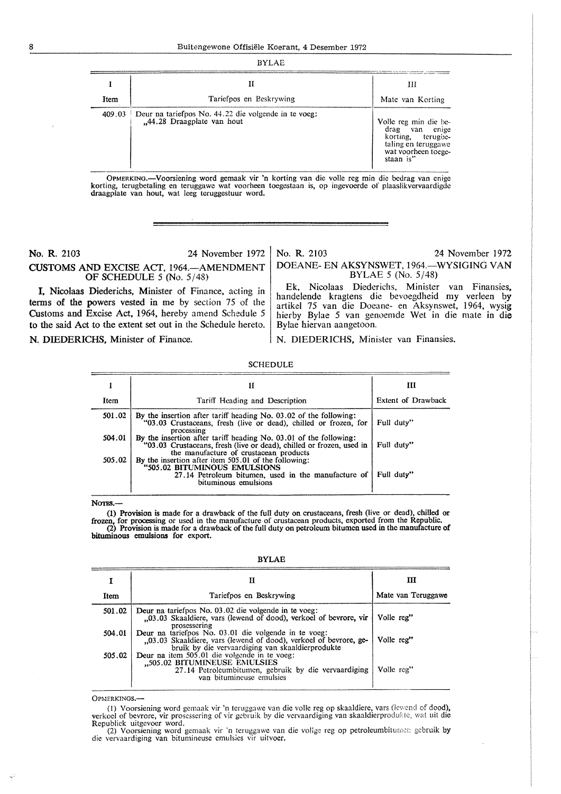|        | н                                                                                  | Ш                                                                                                                          |
|--------|------------------------------------------------------------------------------------|----------------------------------------------------------------------------------------------------------------------------|
| Item   | Tariefpos en Beskrywing                                                            | Mate van Korting                                                                                                           |
| 409.03 | Deur na tariefpos No. 44.22 die volgende in te voeg:<br>"44.28 Draagplate van hout | Volle reg min die be-<br>drag<br>van enige<br>korting, terugbe-<br>taling en teruggawe<br>wat voorheen toege-<br>staan is" |

OPMERKING.—Voorsiening word gemaak vir 'n korting van die volle reg min die bedrag van enige korting, terugbetaling en teruggawe wat voorheen toegestaan is, op ingevoerde of plaaslikvervaardigde draagplate van hout, wat le

**No. R.** 2103 24 November 1972 **CUSTOMS AND** EXCISE ACT, 1964.-AMENDMENT OF SCHEDULE *5* (No. 5/48)

I, Nicolaas Diederichs, Minister of Finance, acting in terms of the powers vested in me by section 75 of the Customs and Excise Act, 1964, hereby amend Schedule *5*  to the said Act to the extent set out in the Schedule hereto.

No. **R.** 2103 24 November 1972 DOEANE- EN AKSYNSWET, 1964.-WYSIGING VAN BYLAE *5* (No. 5/48)

Ek, Nicolaas Diederichs. Minister van Finansies, handelende kragtens die bevoegdheid my verleen by artikel 75 van die Doeane- en Aksynswet, 1964, wysig hierby Bylae *5* van genoemde Wet in die male in die Bylae hiervan aangetoon.

**N. DIEDERICHS, Minister of Finance.** N. DIEDERICHS, Minister van Finansies.

|        | Н                                                                                                                                                                                   | ш                  |
|--------|-------------------------------------------------------------------------------------------------------------------------------------------------------------------------------------|--------------------|
| Item   | Tariff Heading and Description                                                                                                                                                      | Extent of Drawback |
| 501.02 | By the insertion after tariff heading No. 03.02 of the following:<br>"03.03 Crustaceans, fresh (live or dead), chilled or frozen, for<br>processing                                 | Full duty"         |
| 504.01 | By the insertion after tariff heading No. 03.01 of the following:<br>"03.03 Crustaceans, fresh (live or dead), chilled or frozen, used in<br>the manufacture of crustacean products | Full duty"         |
| 505.02 | By the insertion after item 505.01 of the following:<br>"505.02 BITUMINOUS EMULSIONS<br>27.14 Petroleum bitumen, used in the manufacture of<br>bituminous emulsions                 | Full duty"         |

SCHEDULE

NOTES.-

(1) Provision is made for a drawback of the full duty on crustaceans, fresh (live or dead), chilled or frozen, for processing or used in the manufacture of crustacean products, exported from the Republic.<br>(2) Provision is bituminous emulsions for export.

BYLAE

|        | П                                                                                                                                                                            | ш                  |
|--------|------------------------------------------------------------------------------------------------------------------------------------------------------------------------------|--------------------|
| Item   | Tariefpos en Beskrywing                                                                                                                                                      | Mate van Teruggawe |
| 501.02 | Deur na tariefpos No. 03.02 die volgende in te voeg:<br>03.03 Skaaldiere, vars (lewend of dood), verkoel of bevrore, vir<br>prosessering                                     | Volle reg"         |
| 504.01 | Deur na tariefpos No. 03.01 die volgende in te voeg:<br>03.03 Skaaldiere, vars (lewend of dood), verkoel of bevrore, ge-<br>bruik by die vervaardiging van skaaldierprodukte | Volle reg"         |
| 505.02 | Deur na item 505.01 die volgende in te voeg:<br>"505.02 BITUMINEUSE EMULSIES<br>27.14 Petroleumbitumen, gebruik by die vervaardiging<br>van bitumineuse emulsies             | Volle reg"         |

OPMERKINGS.-

(1) Voorsiening word gcmaak vir 'n teruggawe van die voile reg op skaaldiere, vars (lcwcnd of dood), verkoel of bevrore, vir prosessering of vir gebruik by die vervaardiging van skaaldierprodukte, wat uit die Republick uitgevoer word.

(2) Voorsiening word gemaak vir 'n teruggawe van die vollge reg op petroleumbitumen gebruik by die vervaardiging van bitumineuse emulsies vir uitvoer.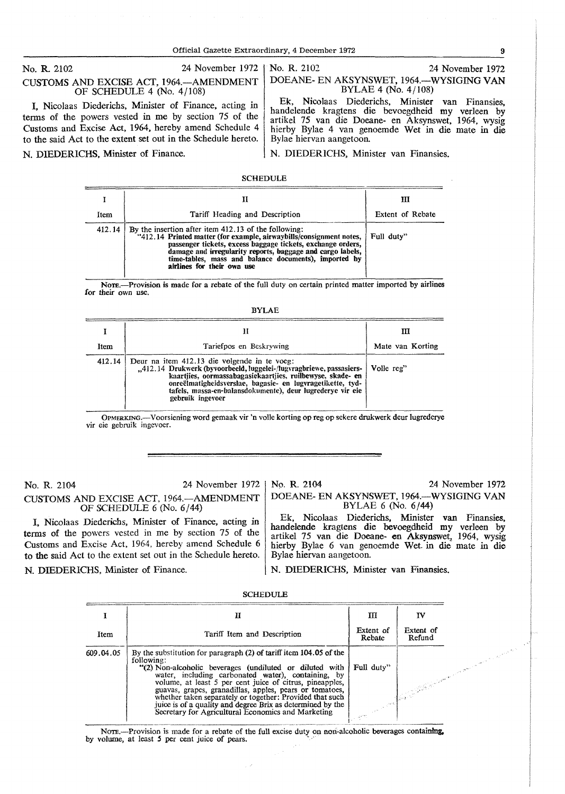Official Gazette Extraordinary, 4 December 1972 9

No. R. 2102 24 November 1972

### CUSTOMS AND EXCISE ACT, 1964.-AMENDMENT OF SCHEDULE 4 (No. 4/108)

I, Nicolaas Diederichs, Minister of Finance, acting in terms of the powers vested in me by section 75 of the Customs and Excise Act, 1964, hereby amend Schedule 4 to the said Act to the extent set out in the Schedule hereto.

N. DIEDERICHS, Minister of Finance. N. DIEDERICHS, Minister van Finansies.

#### No. R. 2102 24 November 1972 DOEANE- EN AKSYNSWET, 1964.-WYSIGING **VAN**  BYLAE 4 (No. 4/108)

Ek, Nicolaas Diederichs, Minister van Finansies, handelende kragtens die bevoegdheid my verleen by artikel 75 van die Doeane- en Aksynswet, 1964, wysig hierby Bylae 4 van genoemde Wet in die mate in die Bylae hiervan aangetoon.

SCHEDULE

|        |                                                                                                                                                                                                                                                                                                                                                 | ш                |
|--------|-------------------------------------------------------------------------------------------------------------------------------------------------------------------------------------------------------------------------------------------------------------------------------------------------------------------------------------------------|------------------|
| Item   | Tariff Heading and Description                                                                                                                                                                                                                                                                                                                  | Extent of Rebate |
| 412.14 | By the insertion after item 412.13 of the following:<br>"412.14 Printed matter (for example, airwaybills/consignment notes,<br>passenger tickets, excess baggage tickets, exchange orders,<br>damage and irregularity reports, baggage and cargo labels,<br>time-tables, mass and balance documents), imported by<br>airlines for their own use | Full duty"       |

NoTE.-Provision is made for a rebate of the full duty on certain printed matter imported by airlines for their own use.

|--|--|

| Item   | Tariefpos en Beskrywing                                                                                                                                                                                                                                                                                                           | Ш<br>Mate van Korting |
|--------|-----------------------------------------------------------------------------------------------------------------------------------------------------------------------------------------------------------------------------------------------------------------------------------------------------------------------------------|-----------------------|
| 412.14 | Deur na item 412.13 die volgende in te voeg:<br>"412.14 Drukwerk (byvoorbeeld, luggelei-/lugvragbriewe, passasiers-<br>kaartijes, oormassabagasiekaartijes, ruilbewyse, skade- en<br>onreëlmatigheidsverslae, bagasie- en lugvragetikette, tyd-<br>tafels, massa-en-balansdokumente), deur lugrederve vir eie<br>gebruik ingevoer | Volle reg"            |

OPMERKING.-Voorsiening word gemaak vir 'n volle korting op reg op sekere drukwerk deur lugrederye vir cie gcbruik ingevocr.

No. R. 2104 24 November 1972 CUSTOMS AND EXCISE ACT, 1964.-AMENDMENT OF SCHEDULE 6 (No. 6/44)

I, Nicolaas Diederichs, Minister of Finance, acting in terms of the powers vested in me by section 75 of the Customs and Excise Act, 1964, hereby amend Schedule 6 to the said Act to the extent set out in the Schedule hereto.

No. R. 2104 24 November 1972 DOEANE- EN AKSYNSWET, 1964.-WYSIGING VAN BYLAE 6 (No. 6/44)

Ek, Nicolaas Diederichs, Minister van Finansies, handelende kragtens die bevoegdheid my verleen by artikel 75 van die Doeane- en Aksynswet, 1964, wysig hierby Bylae 6 van genoemde Wet in die mate in die Bylae hiervan aangetoon.

N. DIEDERICHS, Minister of Finance. N. DIEDERICHS, Minister van Finansies.

|           | н                                                                                                                                                                                                                                                                                                                                                                                                                                                                                                        | ш                   | T٧                  |  |
|-----------|----------------------------------------------------------------------------------------------------------------------------------------------------------------------------------------------------------------------------------------------------------------------------------------------------------------------------------------------------------------------------------------------------------------------------------------------------------------------------------------------------------|---------------------|---------------------|--|
| Item      | Tariff Item and Description                                                                                                                                                                                                                                                                                                                                                                                                                                                                              | Extent of<br>Rebate | Extent of<br>Refund |  |
| 609.04.05 | By the substitution for paragraph (2) of tariff item 104.05 of the<br>following:<br>"(2) Non-alcoholic beverages (undiluted or diluted with<br>water, including carbonated water), containing, by<br>volume, at least 5 per cent juice of citrus, pineapples,<br>guavas, grapes, granadillas, apples, pears or tomatoes,<br>whether taken separately or together: Provided that such<br>juice is of a quality and degree Brix as determined by the<br>Secretary for Agricultural Economics and Marketing | Full duty"          |                     |  |

Secretary for Agricultural Economics and Marketing<br>
Nore.—Provision is made for a rebate of the full excise duty on non-alcoholic beverages containing,<br>
by volume, at least 5 per cent juice of pears.

**SCHEDULE**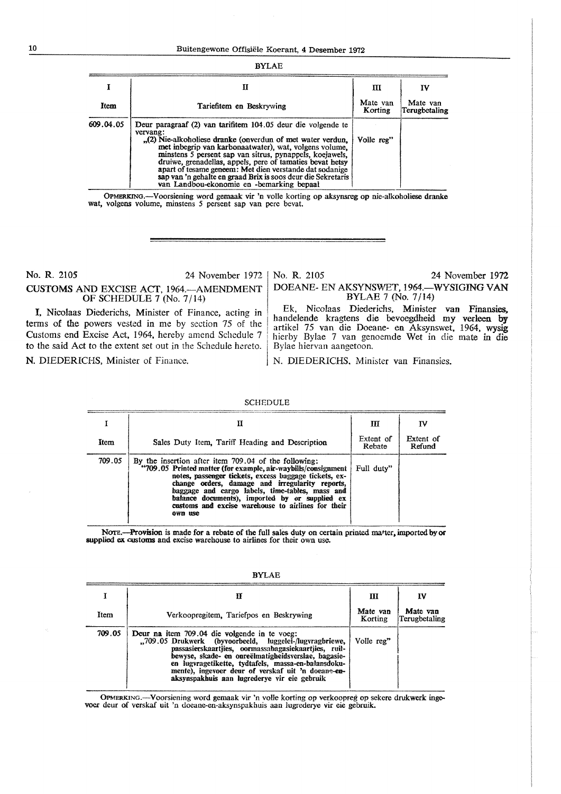| <b>BYLAE</b> |                                                                                                                                                                                                                                                                                                                                                                                                                                                                                                          |                     |                           |  |
|--------------|----------------------------------------------------------------------------------------------------------------------------------------------------------------------------------------------------------------------------------------------------------------------------------------------------------------------------------------------------------------------------------------------------------------------------------------------------------------------------------------------------------|---------------------|---------------------------|--|
|              | п                                                                                                                                                                                                                                                                                                                                                                                                                                                                                                        | ш                   | IV                        |  |
| Item         | Tariefitem en Beskrywing                                                                                                                                                                                                                                                                                                                                                                                                                                                                                 | Mate van<br>Korting | Mate van<br>Terugbetaling |  |
| 609.04.05    | Deur paragraaf (2) van tarifitem 104.05 deur die volgende te<br>vervang:<br>$_{12}$ (2) Nie-alkoholiese dranke (onverdun of met water verdun,<br>met inbegrip van karbonaatwater), wat, volgens volume,<br>minstens 5 persent sap van sitrus, pynappels, koejawels,<br>druiwe, grenadellas, appels, pere of tamaties bevat hetsy<br>apart of tesame geneem: Met dien verstande dat sodanige<br>sap van 'n gehalte en graad Brix is soos deur die Sekretaris<br>van Landbou-ekonomie en -bemarking bepaal | Volle reg"          |                           |  |

OPMERKINO.-Voorsiening word gemaak vir 'n voile korting op aksynsreg op nie-alkoholiese dranke wat, volgens volume, minstens 5 persent sap van pere bevat.

### No. R. 2105 24 November 1972 CUSTOMS AND EXCISE ACT, 1964. AMENDMENT OF SCHEDULE 7 (No. 7/14)

I, Nicolaas Diederichs, Minister of Finance, acting in terms of the powers vested in me by section 75 of the Customs end Excise Act, 1964, hereby amend Schedule 7 to the said Act to the extent set out in the Schedule hereto.

No. R. 2105 24 November 1972 DOEANE- EN AKSYNSWET, 1964.-WYSIGING VAN BYLAE 7 (No. 7 /14)

Ek, Nicolaas Diederichs, Minister van Finansies, handelende kragtens die bevoegdheid my verleen by artikel 75 van die Doeane- en Aksynswet, 1964, wysig hierby Bylae 7 van genoemde Wet in die mate in die Bylae hiervan aangetoon.

N. DIEDERICHS, Minister of Finance. N. DIEDERICHS, Minister van Finansies.

|        |                                                                                                                                                                                                                                                                                                                                                                                                         | Ш                   | Iν                  |
|--------|---------------------------------------------------------------------------------------------------------------------------------------------------------------------------------------------------------------------------------------------------------------------------------------------------------------------------------------------------------------------------------------------------------|---------------------|---------------------|
| Item   | Sales Duty Item, Tariff Heading and Description                                                                                                                                                                                                                                                                                                                                                         | Extent of<br>Rebate | Extent of<br>Refund |
| 709.05 | By the insertion after item 709.04 of the following:<br>"709.05 Printed matter (for example, air-waybills/consignment<br>notes, passenger tickets, excess baggage tickets, ex-<br>change orders, damage and irregularity reports,<br>baggage and cargo labels, time-tables, mass and<br>balance documents), imported by or supplied ex<br>customs and excise warehouse to airlines for their<br>own use | Full duty"          |                     |

SCHEDULE

NOTE.-Provision is made for a rebate of the full sales duty on certain printed matter, imported by or supplied ex. customs and excise warehouse to airlines for their own use.

|        |                                                                                                                                                                                                                                                                                                                                                                                     | Ш                   | IV                        |
|--------|-------------------------------------------------------------------------------------------------------------------------------------------------------------------------------------------------------------------------------------------------------------------------------------------------------------------------------------------------------------------------------------|---------------------|---------------------------|
| Item   | Verkoopregitem, Tariefpos en Beskrywing                                                                                                                                                                                                                                                                                                                                             | Mate van<br>Korting | Mate van<br>Terugbetaling |
| 709.05 | Deur na item 709.04 die volgende in te voeg:<br>"709.05 Drukwerk (byvoorbeeld, luggelei-/lugvragbriewe,<br>passasierskaartjies, oormassabagasiekaartjies, ruil-<br>bewyse, skade- en onreëlmatigheidsverslae, bagasie-<br>en lugvragetikette, tydtafels, massa-en-balansdoku-<br>mente), ingevoer deur of verskaf uit 'n doeane-en-<br>aksynspakhuis aan lugrederye vir eie gebruik | Volle reg"          |                           |

BYLAE

0PMERKING.-Voorsiening word gemaak vir 'n voile korting op verkoopreg op sekere drukwerk inge-voer deur of verskaf uit 'n doeane-en-aksynspakhuis aan lugrederye vir eie gebruik.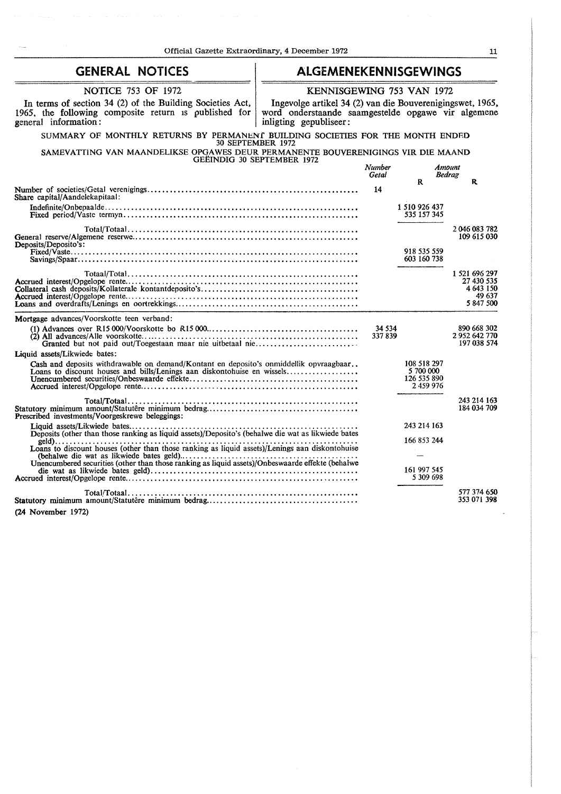| <b>GENERAL NOTICES</b><br>ALGEMENEKENNISGEWINGS                                                                                                                   |                                                                                                                                           |                   |                                                      |                                                                 |
|-------------------------------------------------------------------------------------------------------------------------------------------------------------------|-------------------------------------------------------------------------------------------------------------------------------------------|-------------------|------------------------------------------------------|-----------------------------------------------------------------|
| <b>NOTICE 753 OF 1972</b>                                                                                                                                         | KENNISGEWING 753 VAN 1972                                                                                                                 |                   |                                                      |                                                                 |
| In terms of section 34 (2) of the Building Societies Act,<br>1965, the following composite return is published for<br>general information:                        | Ingevolge artikel 34 (2) van die Bouverenigingswet, 1965,<br>word onderstaande saamgestelde opgawe vir algemene<br>inligting gepubliseer: |                   |                                                      |                                                                 |
| SUMMARY OF MONTHLY RETURNS BY PERMANENT BUILDING SOCIETIES FOR THE MONTH ENDED<br>30 SEPTEMBER 1972                                                               |                                                                                                                                           |                   |                                                      |                                                                 |
| SAMEVATTING VAN MAANDELIKSE OPGAWES DEUR PERMANENTE BOUVERENIGINGS VIR DIE MAAND<br>GEËINDIG 30 SEPTEMBER 1972                                                    |                                                                                                                                           |                   |                                                      |                                                                 |
|                                                                                                                                                                   |                                                                                                                                           | Number<br>Getal   |                                                      | Amount<br><b>Bedrag</b>                                         |
| Share capital/Aandelekapitaal:                                                                                                                                    |                                                                                                                                           | 14                | $\mathbf{R}$                                         | R                                                               |
|                                                                                                                                                                   |                                                                                                                                           |                   | 1 510 926 437<br>535 157 345                         |                                                                 |
| Deposits/Deposito's:                                                                                                                                              |                                                                                                                                           |                   |                                                      | 2046083782<br>109 615 030                                       |
| Savings/Spaar                                                                                                                                                     |                                                                                                                                           |                   | 918 535 559<br>603 160 738                           |                                                                 |
|                                                                                                                                                                   |                                                                                                                                           |                   |                                                      | 1 521 696 297<br>27 430 535<br>4 643 150<br>49 637<br>5 847 500 |
| Mortgage advances/Voorskotte teen verband:                                                                                                                        |                                                                                                                                           |                   |                                                      |                                                                 |
|                                                                                                                                                                   |                                                                                                                                           | 34 5 34<br>337839 |                                                      | 890 668 302<br>2952642770<br>197 038 574                        |
| Liquid assets/Likwiede bates:                                                                                                                                     |                                                                                                                                           |                   |                                                      |                                                                 |
| Cash and deposits withdrawable on demand/Kontant en deposito's onmiddellik opyraagbaar<br>Loans to discount houses and bills/Lenings aan diskontohuise en wissels |                                                                                                                                           |                   | 108 518 297<br>5 700 000<br>126 535 890<br>2 459 976 |                                                                 |
| Prescribed investments/Voorgeskrewe beleggings:                                                                                                                   |                                                                                                                                           |                   |                                                      | 243 214 163<br>184 034 709                                      |
|                                                                                                                                                                   |                                                                                                                                           |                   | 243 214 163                                          |                                                                 |
| Loans to discount houses (other than those ranking as liquid assets)/Lenings aan diskontohuise                                                                    |                                                                                                                                           |                   | 166 853 244                                          |                                                                 |
| Unencumbered securities (other than those ranking as liquid assets)/Onbeswaarde effekte (behalwe                                                                  |                                                                                                                                           |                   | 161 997 545<br>5 309 698                             |                                                                 |
|                                                                                                                                                                   |                                                                                                                                           |                   |                                                      | 577 374 650<br>353 071 398                                      |

(24 November 1972)